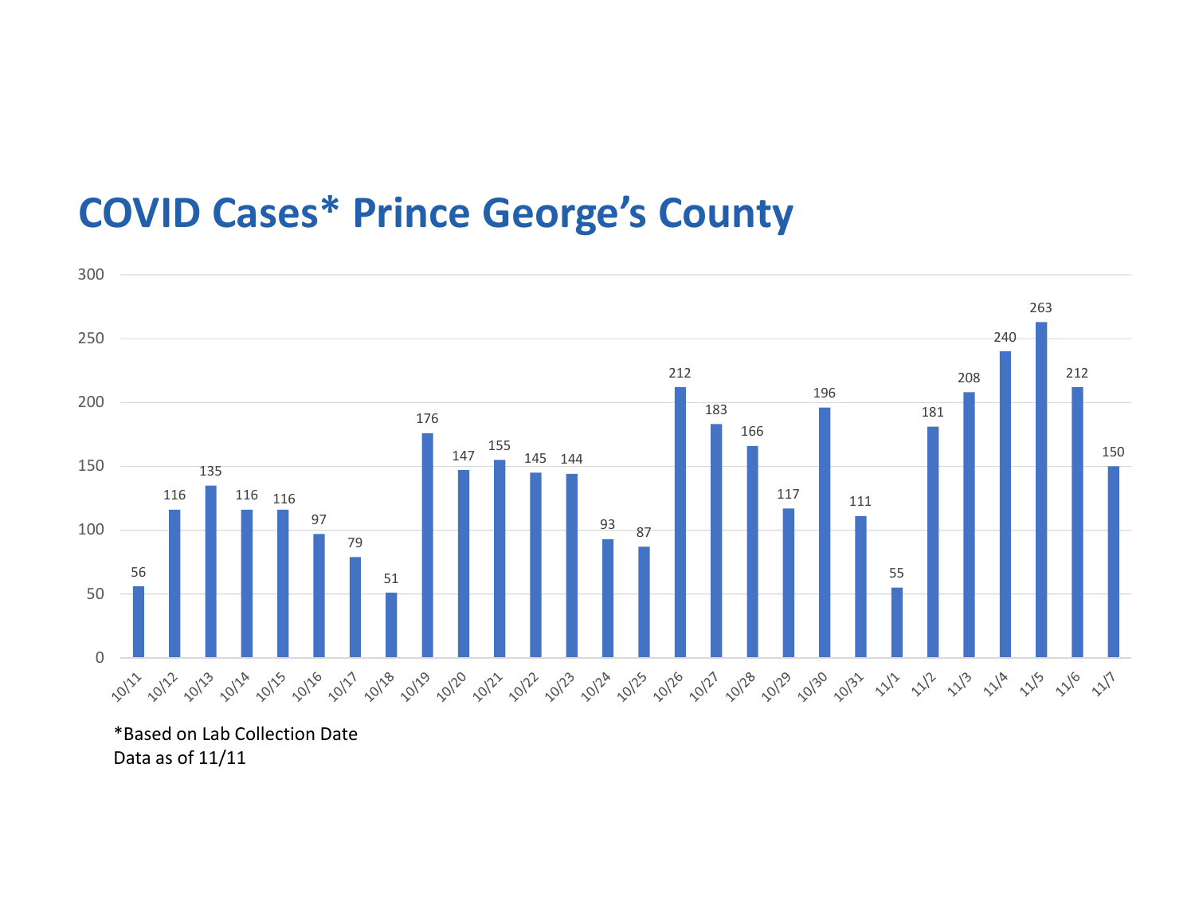## COVID Cases\* Prince George's County



\*Based on Lab Collection Date Data as of 11/11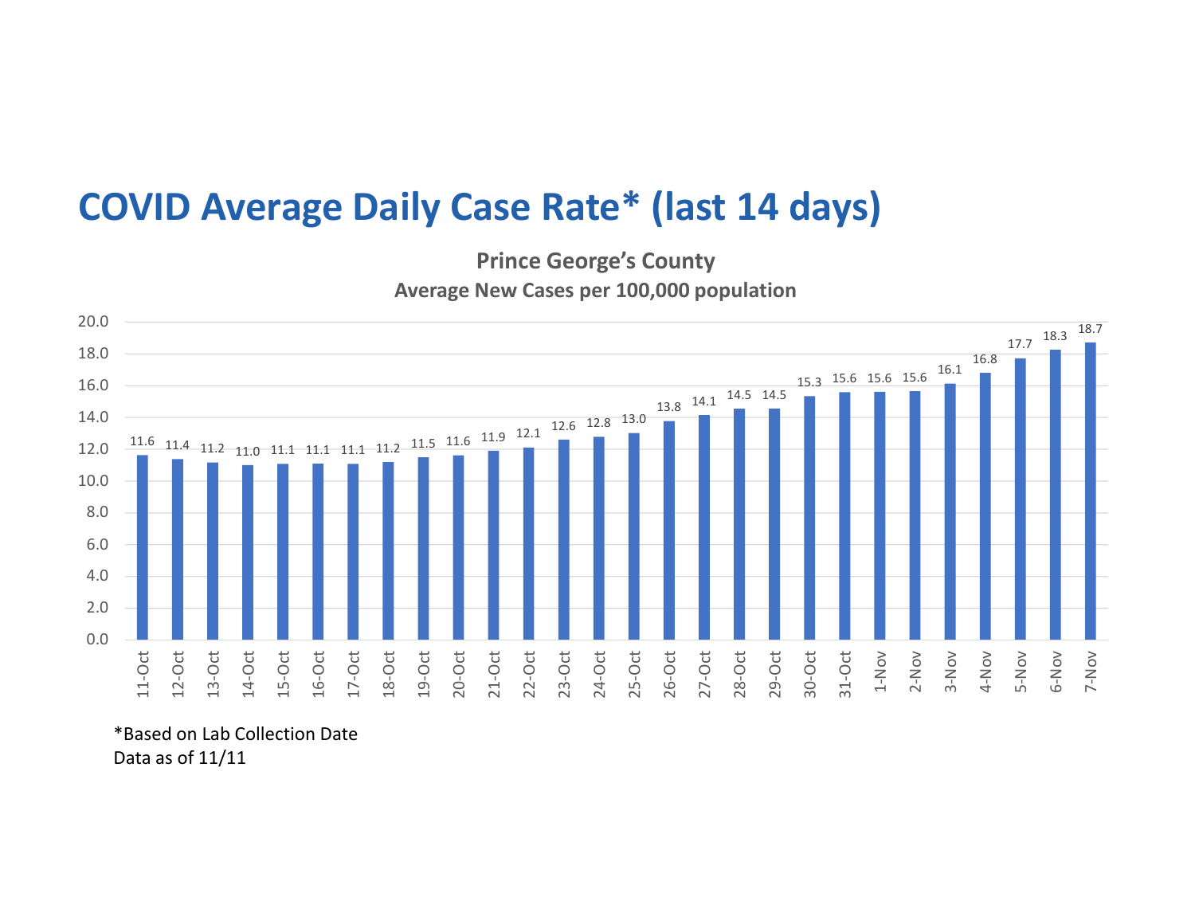## COVID Average Daily Case Rate\* (last 14 days)

Prince George's County Average New Cases per 100,000 population



\*Based on Lab Collection Date Data as of 11/11